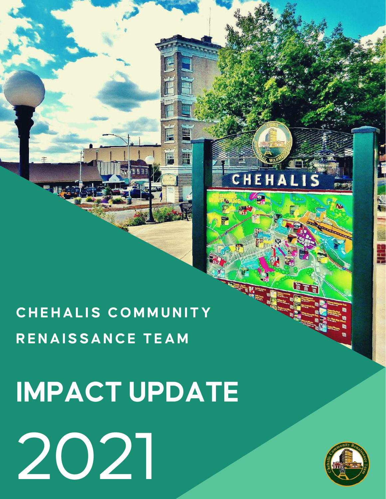# 2021



Ī

CHEHALIS

# **IMPACT UPDATE**

# **CHEHAL IS COMMUNITY RENAISSANCE TEAM**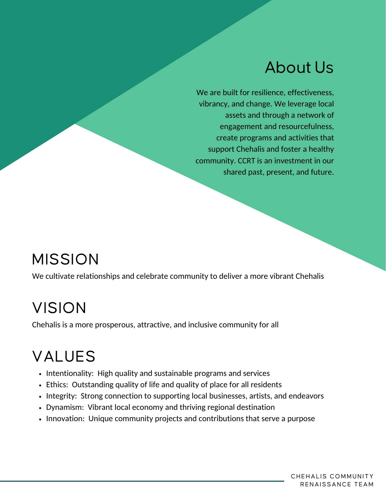#### About Us

We are built for resilience, effectiveness, vibrancy, and change. We leverage local assets and through a network of engagement and resourcefulness, create programs and activities that support Chehalis and foster a healthy community. CCRT is an investment in our shared past, present, and future.

#### MISSION

We cultivate relationships and celebrate community to deliver a more vibrant Chehalis

#### VISION

Chehalis is a more prosperous, attractive, and inclusive community for all

# VALUES

- Intentionality: High quality and sustainable programs and services
- Ethics: Outstanding quality of life and quality of place for all residents
- Integrity: Strong connection to supporting local businesses, artists, and endeavors
- Dynamism: Vibrant local economy and thriving regional destination
- Innovation: Unique community projects and contributions that serve a purpose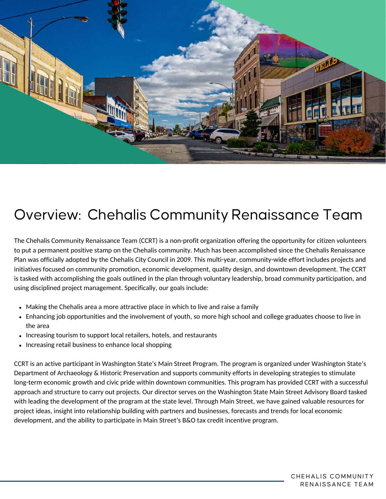

#### Overview: Chehalis Community Renaissance Team

The Chehalis Community Renaissance Team (CCRT) is a non-profit organization offering the opportunity for citizen volunteers to put a permanent positive stamp on the Chehalis community. Much has been accomplished since the Chehalis Renaissance Plan was officially adopted by the Chehalis City Council in 2009. This multi-year, community-wide effort includes projects and initiatives focused on community promotion, economic development, quality design, and downtown development. The CCRT is tasked with accomplishing the goals outlined in the plan through voluntary leadership, broad community participation, and using disciplined project management. Specifically, our goals include:

- Making the Chehalis area a more attractive place in which to live and raise a family
- Enhancing job opportunities and the involvement of youth, so more high school and college graduates choose to live in the area
- Increasing tourism to support local retailers, hotels, and restaurants
- Increasing retail business to enhance local shopping  $\bullet$

CCRT is an active participant in Washington State's Main Street Program. The program is organized under Washington State's Department of Archaeology & Historic Preservation and supports community efforts in developing strategies to stimulate long-term economic growth and civic pride within downtown communities. This program has provided CCRT with a successful approach and structure to carry out projects. Our director serves on the Washington State Main Street Advisory Board tasked with leading the development of the program at the state level. Through Main Street, we have gained valuable resources for project ideas, insight into relationship building with partners and businesses, forecasts and trends for local economic development, and the ability to participate in Main Street's B&O tax credit incentive program.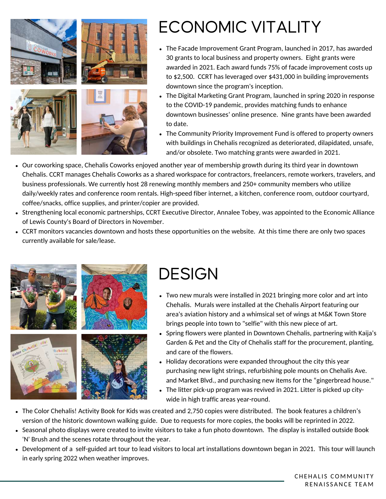

# ECONOMIC VITALITY

- The Facade Improvement Grant Program, launched in 2017, has awarded 30 grants to local business and property owners. Eight grants were awarded in 2021. Each award funds 75% of facade improvement costs up to \$2,500. CCRT has leveraged over \$431,000 in building improvements downtown since the program's inception.
- The Digital Marketing Grant Program, launched in spring 2020 in response to the COVID-19 pandemic, provides matching funds to enhance downtown businesses' online presence. Nine grants have been awarded to date.
- The Community Priority Improvement Fund is offered to property owners with buildings in Chehalis recognized as deteriorated, dilapidated, unsafe, and/or obsolete. Two matching grants were awarded in 2021.
- Our coworking space, Chehalis Coworks enjoyed another year of membership growth during its third year in downtown Chehalis. CCRT manages Chehalis Coworks as a shared workspace for contractors, freelancers, remote workers, travelers, and business professionals. We currently host 28 renewing monthly members and 250+ community members who utilize daily/weekly rates and conference room rentals. High-speed fiber internet, a kitchen, conference room, outdoor courtyard, coffee/snacks, office supplies, and printer/copier are provided.
- Strengthening local economic partnerships, CCRT Executive Director, Annalee Tobey, was appointed to the Economic Alliance of Lewis County's Board of Directors in November.
- CCRT monitors vacancies downtown and hosts these opportunities on the website. At this time there are only two spaces currently available for sale/lease.



# **DESIGN**

- Two new murals were installed in 2021 bringing more color and art into Chehalis. Murals were installed at the Chehalis Airport featuring our area's aviation history and a whimsical set of wings at M&K Town Store brings people into town to "selfie" with this new piece of art.
- Spring flowers were planted in Downtown Chehalis, partnering with Kaija's Garden & Pet and the City of Chehalis staff for the procurement, planting, and care of the flowers.
- Holiday decorations were expanded throughout the city this year purchasing new light strings, refurbishing pole mounts on Chehalis Ave. and Market Blvd., and purchasing new items for the "gingerbread house."
- The litter pick-up program was revived in 2021. Litter is picked up citywide in high traffic areas year-round.
- The Color Chehalis! Activity Book for Kids was created and 2,750 copies were distributed. The book features a children's version of the historic downtown walking guide. Due to requests for more copies, the books will be reprinted in 2022.
- Seasonal photo displays were created to invite visitors to take a fun photo downtown. The display is installed outside Book 'N' Brush and the scenes rotate throughout the year.
- Development of a self-guided art tour to lead visitors to local art installations downtown began in 2021. This tour will launch in early spring 2022 when weather improves.